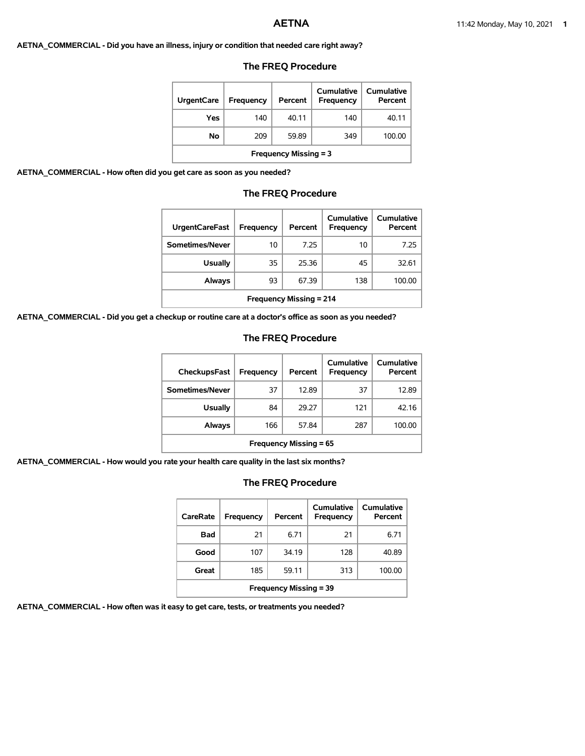#### **AETNA\_COMMERCIAL - Did you have an illness, injury or condition that needed care right away?**

| <b>UrgentCare</b>            | Frequency | Percent | Cumulative<br><b>Frequency</b> | Cumulative<br>Percent |  |  |
|------------------------------|-----------|---------|--------------------------------|-----------------------|--|--|
| Yes                          | 140       | 40.11   | 140                            | 40.11                 |  |  |
| No                           | 209       | 59.89   | 349                            | 100.00                |  |  |
| <b>Frequency Missing = 3</b> |           |         |                                |                       |  |  |

### **The FREQ Procedure**

**AETNA\_COMMERCIAL - How often did you get care as soon as you needed?**

## **The FREQ Procedure**

| <b>UrgentCareFast</b>          | Frequency | Percent | Cumulative<br>Frequency | Cumulative<br>Percent |
|--------------------------------|-----------|---------|-------------------------|-----------------------|
| Sometimes/Never                | 10        | 7.25    | 10                      | 7.25                  |
| <b>Usually</b>                 | 35        | 25.36   | 45                      | 32.61                 |
| Always                         | 93        | 67.39   | 138                     | 100.00                |
| <b>Frequency Missing = 214</b> |           |         |                         |                       |

**AETNA\_COMMERCIAL - Did you get a checkup or routine care at a doctor's office as soon as you needed?**

## **The FREQ Procedure**

| CheckupsFast                  | Frequency | Percent | Cumulative<br>Frequency | Cumulative<br>Percent |  |
|-------------------------------|-----------|---------|-------------------------|-----------------------|--|
| Sometimes/Never               | 37        | 12.89   | 37                      | 12.89                 |  |
| <b>Usually</b>                | 84        | 29.27   | 121                     | 42.16                 |  |
| Always                        | 166       | 57.84   | 287                     | 100.00                |  |
| <b>Frequency Missing = 65</b> |           |         |                         |                       |  |

**AETNA\_COMMERCIAL - How would you rate your health care quality in the last six months?**

# **The FREQ Procedure**

| CareRate                      | Frequency | Percent | Cumulative<br>Frequency | Cumulative<br>Percent |  |  |
|-------------------------------|-----------|---------|-------------------------|-----------------------|--|--|
| Bad                           | 21        | 6.71    | 21                      | 6.71                  |  |  |
| Good                          | 107       | 34.19   | 128                     | 40.89                 |  |  |
| Great                         | 185       | 59.11   | 313                     | 100.00                |  |  |
| <b>Frequency Missing = 39</b> |           |         |                         |                       |  |  |

**AETNA\_COMMERCIAL - How often was it easy to get care, tests, or treatments you needed?**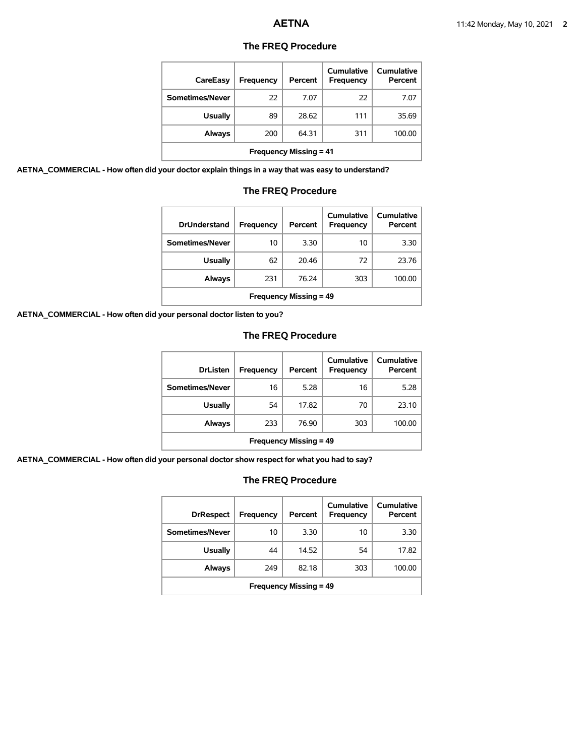| <b>The FREQ Procedure</b> |  |
|---------------------------|--|
|---------------------------|--|

| CareEasy                      | <b>Frequency</b> | Percent | <b>Cumulative</b><br><b>Frequency</b> | <b>Cumulative</b><br>Percent |  |
|-------------------------------|------------------|---------|---------------------------------------|------------------------------|--|
| Sometimes/Never               | 22               | 7.07    | 22                                    | 7.07                         |  |
| <b>Usually</b>                | 89               | 28.62   | 111                                   | 35.69                        |  |
| Always                        | 200              | 64.31   | 311                                   | 100.00                       |  |
| <b>Frequency Missing = 41</b> |                  |         |                                       |                              |  |

**AETNA\_COMMERCIAL - How often did your doctor explain things in a way that was easy to understand?**

| <b>DrUnderstand</b>           | Frequency | Percent | Cumulative<br>Frequency | Cumulative<br>Percent |  |
|-------------------------------|-----------|---------|-------------------------|-----------------------|--|
| Sometimes/Never               | 10        | 3.30    | 10                      | 3.30                  |  |
| <b>Usually</b>                | 62        | 20.46   | 72                      | 23.76                 |  |
| Always                        | 231       | 76.24   | 303                     | 100.00                |  |
| <b>Frequency Missing = 49</b> |           |         |                         |                       |  |

# **The FREQ Procedure**

**AETNA\_COMMERCIAL - How often did your personal doctor listen to you?**

# **The FREQ Procedure**

| <b>DrListen</b>               | Frequency | Percent | Cumulative<br>Frequency | Cumulative<br>Percent |  |
|-------------------------------|-----------|---------|-------------------------|-----------------------|--|
| Sometimes/Never               | 16        | 5.28    | 16                      | 5.28                  |  |
| <b>Usually</b>                | 54        | 17.82   | 70                      | 23.10                 |  |
| Always                        | 233       | 76.90   | 303                     | 100.00                |  |
| <b>Frequency Missing = 49</b> |           |         |                         |                       |  |

**AETNA\_COMMERCIAL - How often did your personal doctor show respect for what you had to say?**

| <b>DrRespect</b>              | Frequency | Percent | Cumulative<br>Frequency | <b>Cumulative</b><br>Percent |  |
|-------------------------------|-----------|---------|-------------------------|------------------------------|--|
| Sometimes/Never               | 10        | 3.30    | 10                      | 3.30                         |  |
| <b>Usually</b>                | 44        | 14.52   | 54                      | 17.82                        |  |
| Always                        | 249       | 82.18   | 303                     | 100.00                       |  |
| <b>Frequency Missing = 49</b> |           |         |                         |                              |  |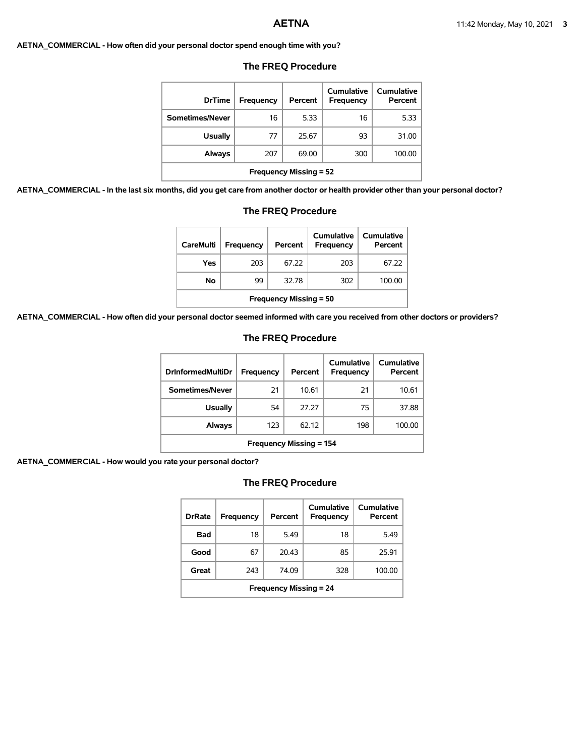#### **AETNA\_COMMERCIAL - How often did your personal doctor spend enough time with you?**

| <b>DrTime</b>                 | Frequency | Percent | Cumulative<br>Frequency | Cumulative<br>Percent |
|-------------------------------|-----------|---------|-------------------------|-----------------------|
| Sometimes/Never               | 16        | 5.33    | 16                      | 5.33                  |
| <b>Usually</b>                | 77        | 25.67   | 93                      | 31.00                 |
| Always                        | 207       | 69.00   | 300                     | 100.00                |
| <b>Frequency Missing = 52</b> |           |         |                         |                       |

# **The FREQ Procedure**

**AETNA\_COMMERCIAL - In the last six months, did you get care from another doctor or health provider other than your personal doctor?**

| <b>Frequency Missing = 52</b>                                        |           |         |                                       |                              |  |  |  |
|----------------------------------------------------------------------|-----------|---------|---------------------------------------|------------------------------|--|--|--|
| ns, did you get care from another doctor or health provider other th |           |         |                                       |                              |  |  |  |
| <b>The FREQ Procedure</b>                                            |           |         |                                       |                              |  |  |  |
| <b>CareMulti</b>                                                     | Frequency | Percent | <b>Cumulative</b><br><b>Frequency</b> | <b>Cumulative</b><br>Percent |  |  |  |
| Yes                                                                  | 203       | 67.22   | 203                                   | 67.22                        |  |  |  |

**No** 99 32.78 302 100.00

**AETNA\_COMMERCIAL - How often did your personal doctor seemed informed with care you received from other doctors or providers?**

## **The FREQ Procedure**

**Frequency Missing = 50**

| <b>DrInformedMultiDr</b>       | Frequency | Percent | Cumulative<br>Frequency | Cumulative<br>Percent |
|--------------------------------|-----------|---------|-------------------------|-----------------------|
| Sometimes/Never                | 21        | 10.61   | 21                      | 10.61                 |
| Usually                        | 54        | 27.27   | 75                      | 37.88                 |
| Always                         | 123       | 62.12   | 198                     | 100.00                |
| <b>Frequency Missing = 154</b> |           |         |                         |                       |

**AETNA\_COMMERCIAL - How would you rate your personal doctor?**

| <b>DrRate</b>                 | <b>Frequency</b> | Percent | Cumulative<br>Frequency | Cumulative<br>Percent |  |
|-------------------------------|------------------|---------|-------------------------|-----------------------|--|
| Bad                           | 18               | 5.49    | 18                      | 5.49                  |  |
| Good                          | 67               | 20.43   | 85                      | 25.91                 |  |
| Great                         | 243              | 74.09   | 328                     | 100.00                |  |
| <b>Frequency Missing = 24</b> |                  |         |                         |                       |  |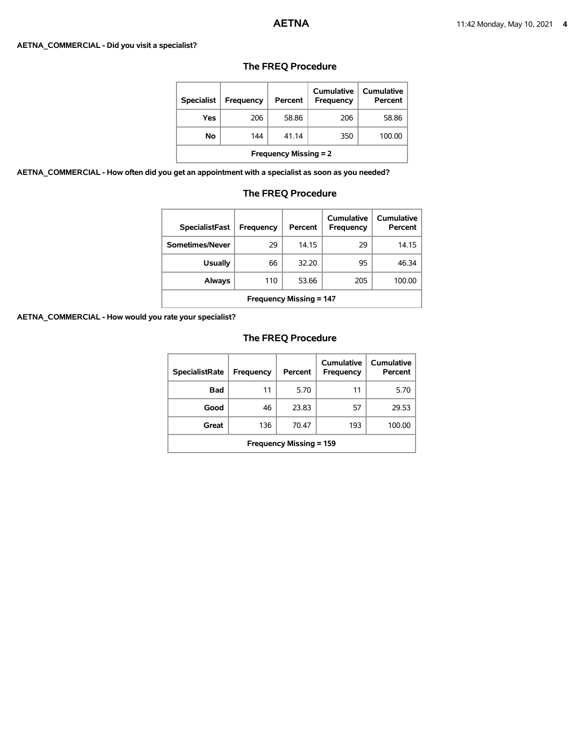#### **AETNA\_COMMERCIAL - Did you visit a specialist?**

| <b>Specialist</b>            | <b>Frequency</b> | Percent | Cumulative<br><b>Frequency</b> | Cumulative<br>Percent |  |
|------------------------------|------------------|---------|--------------------------------|-----------------------|--|
| Yes                          | 206              | 58.86   | 206                            | 58.86                 |  |
| No                           | 144              | 41.14   | 350                            | 100.00                |  |
| <b>Frequency Missing = 2</b> |                  |         |                                |                       |  |

# **The FREQ Procedure**

**AETNA\_COMMERCIAL - How often did you get an appointment with a specialist as soon as you needed?**

# **The FREQ Procedure**

| <b>SpecialistFast</b>          | Frequency | Percent | Cumulative<br>Frequency | Cumulative<br>Percent |  |
|--------------------------------|-----------|---------|-------------------------|-----------------------|--|
| Sometimes/Never                | 29        | 14.15   | 29                      | 14.15                 |  |
| <b>Usually</b>                 | 66        | 32.20   | 95                      | 46.34                 |  |
| Always                         | 110       | 53.66   | 205                     | 100.00                |  |
| <b>Frequency Missing = 147</b> |           |         |                         |                       |  |

**AETNA\_COMMERCIAL - How would you rate your specialist?**

| <b>SpecialistRate</b>          | <b>Frequency</b> | Percent | Cumulative<br><b>Frequency</b> | Cumulative<br>Percent |  |
|--------------------------------|------------------|---------|--------------------------------|-----------------------|--|
| Bad                            | 11               | 5.70    | 11                             | 5.70                  |  |
| Good                           | 46               | 23.83   | 57                             | 29.53                 |  |
| Great                          | 136              | 70.47   | 193                            | 100.00                |  |
| <b>Frequency Missing = 159</b> |                  |         |                                |                       |  |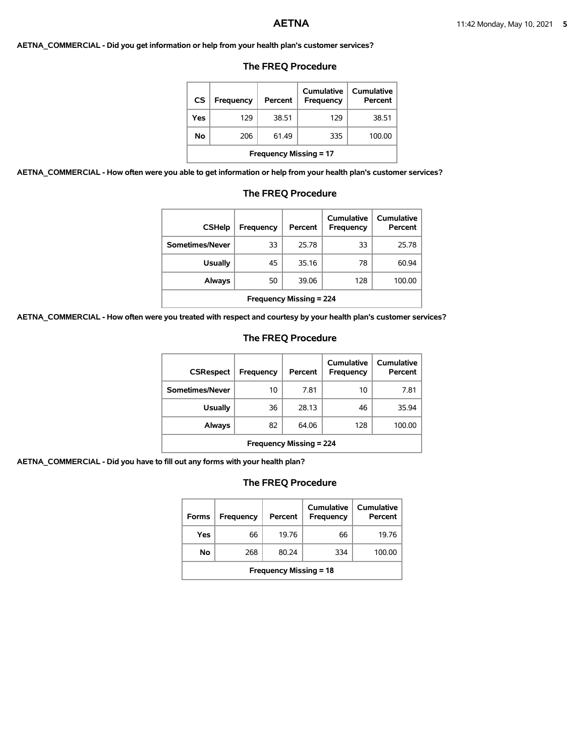#### **AETNA\_COMMERCIAL - Did you get information or help from your health plan's customer services?**

## **The FREQ Procedure**

| <b>CS</b> | Frequency                     | Percent | Cumulative<br>Frequency | Cumulative<br>Percent |  |  |
|-----------|-------------------------------|---------|-------------------------|-----------------------|--|--|
| Yes       | 129                           | 38.51   | 129                     | 38.51                 |  |  |
| Νo        | 206                           | 61.49   | 335                     | 100.00                |  |  |
|           | <b>Frequency Missing = 17</b> |         |                         |                       |  |  |

**AETNA\_COMMERCIAL - How often were you able to get information or help from your health plan's customer services?**

# **The FREQ Procedure**

| <b>CSHelp</b>                  | Frequency | Percent | Cumulative<br>Frequency | <b>Cumulative</b><br>Percent |  |
|--------------------------------|-----------|---------|-------------------------|------------------------------|--|
| Sometimes/Never                | 33        | 25.78   | 33                      | 25.78                        |  |
| <b>Usually</b>                 | 45        | 35.16   | 78                      | 60.94                        |  |
| <b>Always</b>                  | 50        | 39.06   | 128                     | 100.00                       |  |
| <b>Frequency Missing = 224</b> |           |         |                         |                              |  |

**AETNA\_COMMERCIAL - How often were you treated with respect and courtesy by your health plan's customer services?**

## **The FREQ Procedure**

| <b>CSRespect</b>               | Frequency | Percent | Cumulative<br>Frequency | Cumulative<br>Percent |  |
|--------------------------------|-----------|---------|-------------------------|-----------------------|--|
| Sometimes/Never                | 10        | 7.81    | 10                      | 7.81                  |  |
| <b>Usually</b>                 | 36        | 28.13   | 46                      | 35.94                 |  |
| Always                         | 82        | 64.06   | 128                     | 100.00                |  |
| <b>Frequency Missing = 224</b> |           |         |                         |                       |  |

**AETNA\_COMMERCIAL - Did you have to fill out any forms with your health plan?**

| <b>Forms</b>                  | Frequency | Percent | Cumulative<br>Frequency | Cumulative<br>Percent |  |
|-------------------------------|-----------|---------|-------------------------|-----------------------|--|
| Yes                           | 66        | 19.76   | 66                      | 19.76                 |  |
| No                            | 268       | 80.24   | 334                     | 100.00                |  |
| <b>Frequency Missing = 18</b> |           |         |                         |                       |  |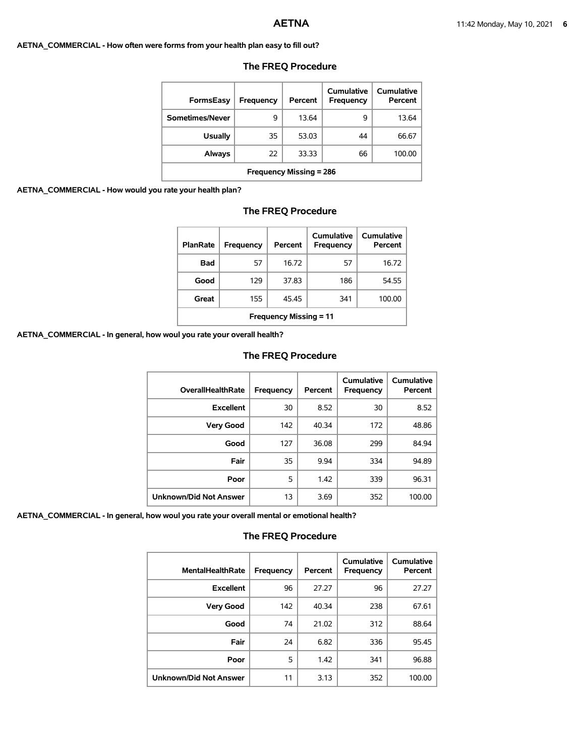#### **AETNA\_COMMERCIAL - How often were forms from your health plan easy to fill out?**

| <b>FormsEasy</b>               | Frequency | Percent | Cumulative<br><b>Frequency</b> | Cumulative<br>Percent |  |
|--------------------------------|-----------|---------|--------------------------------|-----------------------|--|
| Sometimes/Never                | 9         | 13.64   | 9                              | 13.64                 |  |
| <b>Usually</b>                 | 35        | 53.03   | 44                             | 66.67                 |  |
| Always                         | 22        | 33.33   | 66                             | 100.00                |  |
| <b>Frequency Missing = 286</b> |           |         |                                |                       |  |

## **The FREQ Procedure**

## **AETNA\_COMMERCIAL - How would you rate your health plan?**

## **The FREQ Procedure**

| <b>PlanRate</b>               | <b>Frequency</b> | Percent | Cumulative<br><b>Frequency</b> | Cumulative<br>Percent |  |
|-------------------------------|------------------|---------|--------------------------------|-----------------------|--|
| Bad                           | 57               | 16.72   | 57                             | 16.72                 |  |
| Good                          | 129              | 37.83   | 186                            | 54.55                 |  |
| Great                         | 155              | 45.45   | 341                            | 100.00                |  |
| <b>Frequency Missing = 11</b> |                  |         |                                |                       |  |

**AETNA\_COMMERCIAL - In general, how woul you rate your overall health?**

## **The FREQ Procedure**

| <b>OverallHealthRate</b>      | <b>Frequency</b> | Percent | Cumulative<br>Frequency | Cumulative<br>Percent |
|-------------------------------|------------------|---------|-------------------------|-----------------------|
| <b>Excellent</b>              | 30               | 8.52    | 30                      | 8.52                  |
| <b>Very Good</b>              | 142              | 40.34   | 172                     | 48.86                 |
| Good                          | 127              | 36.08   | 299                     | 84.94                 |
| Fair                          | 35               | 9.94    | 334                     | 94.89                 |
| Poor                          | 5                | 1.42    | 339                     | 96.31                 |
| <b>Unknown/Did Not Answer</b> | 13               | 3.69    | 352                     | 100.00                |

**AETNA\_COMMERCIAL - In general, how woul you rate your overall mental or emotional health?**

| <b>MentalHealthRate</b>       | <b>Frequency</b> | Percent | Cumulative<br><b>Frequency</b> | Cumulative<br>Percent |
|-------------------------------|------------------|---------|--------------------------------|-----------------------|
| <b>Excellent</b>              | 96               | 27.27   | 96                             | 27.27                 |
| <b>Very Good</b>              | 142              | 40.34   | 238                            | 67.61                 |
| Good                          | 74               | 21.02   | 312                            | 88.64                 |
| Fair                          | 24               | 6.82    | 336                            | 95.45                 |
| Poor                          | 5                | 1.42    | 341                            | 96.88                 |
| <b>Unknown/Did Not Answer</b> | 11               | 3.13    | 352                            | 100.00                |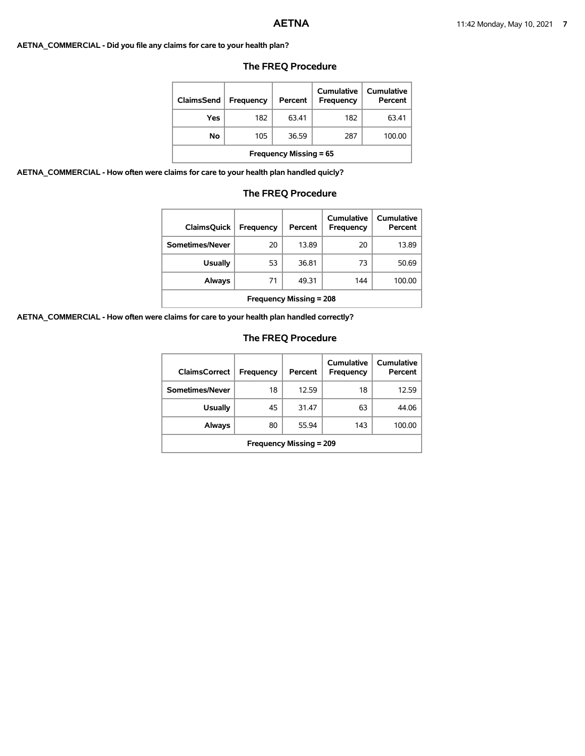## **AETNA\_COMMERCIAL - Did you file any claims for care to your health plan?**

| ClaimsSend                    | <b>Frequency</b> | Percent | Cumulative<br>Frequency | Cumulative<br>Percent |  |  |
|-------------------------------|------------------|---------|-------------------------|-----------------------|--|--|
| Yes                           | 182              | 63.41   | 182                     | 63.41                 |  |  |
| No                            | 105              | 36.59   | 287                     | 100.00                |  |  |
| <b>Frequency Missing = 65</b> |                  |         |                         |                       |  |  |

# **The FREQ Procedure**

**AETNA\_COMMERCIAL - How often were claims for care to your health plan handled quicly?**

## **The FREQ Procedure**

| <b>ClaimsQuick</b>             | Frequency | Percent | Cumulative<br><b>Frequency</b> | Cumulative<br>Percent |  |  |
|--------------------------------|-----------|---------|--------------------------------|-----------------------|--|--|
| Sometimes/Never                | 20        | 13.89   | 20                             | 13.89                 |  |  |
| <b>Usually</b>                 | 53        | 36.81   | 73                             | 50.69                 |  |  |
| Always                         | 71        | 49.31   | 144                            | 100.00                |  |  |
| <b>Frequency Missing = 208</b> |           |         |                                |                       |  |  |

**AETNA\_COMMERCIAL - How often were claims for care to your health plan handled correctly?**

| <b>ClaimsCorrect</b>           | Frequency | Percent | Cumulative<br>Frequency | Cumulative<br>Percent |  |
|--------------------------------|-----------|---------|-------------------------|-----------------------|--|
| Sometimes/Never                | 18        | 12.59   | 18                      | 12.59                 |  |
| <b>Usually</b>                 | 45        | 31.47   | 63                      | 44.06                 |  |
| Always                         | 80        | 55.94   | 143                     | 100.00                |  |
| <b>Frequency Missing = 209</b> |           |         |                         |                       |  |